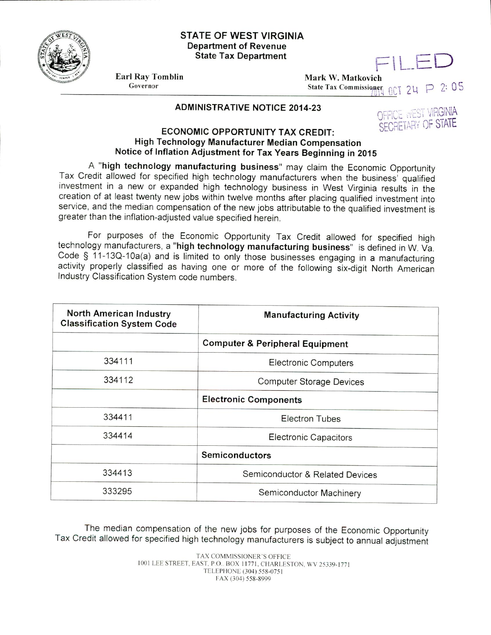

## **STATE OF WEST VIRGINIA Department of Revenue State Tax Department**

Earl Ray Tomblin Governor

Mark W. Matkovich State Tax Commissioner LED  $24$  P  $2: 05$ 

## **ADMINISTRATIVE NOTICE 2014-23**



## **ECONOMIC OPPORTUNITY TAX CREDIT: High Technology Manufacturer Median Compensation Notice of Inflation Adjustment for Tax Years Beginning in 2015**

**A "high technology manufacturing business'** may claim the Economic Opportunity Tax Credit allowed for specified high techrology manufacturers when the business' qualified investment in a new or expanded high technology business in West Virginia results in the creation of at least twenty new jobs within twelve months after placing qualified investment into service, and the median compensation of the new jobs attributable to the qualified investment is greater than the inflation-adjusted value specified herein.

For purposes of the Economic Opportunity Tax Credit allowed for specified high technology manufacturers, a **"high technology manufacturing business"** is defined in W. Va. Code § 11-13Q-10a(a) and is limited to only those businesses engaging in a manufacturing activity properly classified as having one or more of the following six-digit North American Industry Classification System code numbers.

| North American Industry<br><b>Classification System Code</b> | <b>Manufacturing Activity</b>              |
|--------------------------------------------------------------|--------------------------------------------|
|                                                              | <b>Computer &amp; Peripheral Equipment</b> |
| 334111                                                       | <b>Electronic Computers</b>                |
| 334112                                                       | <b>Computer Storage Devices</b>            |
|                                                              | <b>Electronic Components</b>               |
| 334411                                                       | <b>Electron Tubes</b>                      |
| 334414                                                       | <b>Electronic Capacitors</b>               |
|                                                              | <b>Semiconductors</b>                      |
| 334413                                                       | Semiconductor & Related Devices            |
| 333295                                                       | Semiconductor Machinery                    |

The median compensation of the new jobs for purposes of the Economic Opportunity Tax Credit allowed for specified high technology manufacturers is subject to annual adjustment

> TAX COMMISSIONER'S OFFICE 1001 LEE STREET, EAST, P.O.. BOX 11771, CHARLESTON, WV 25339-1771 TELEPHONE (304) 558-0751 FAX (304) 558-8999